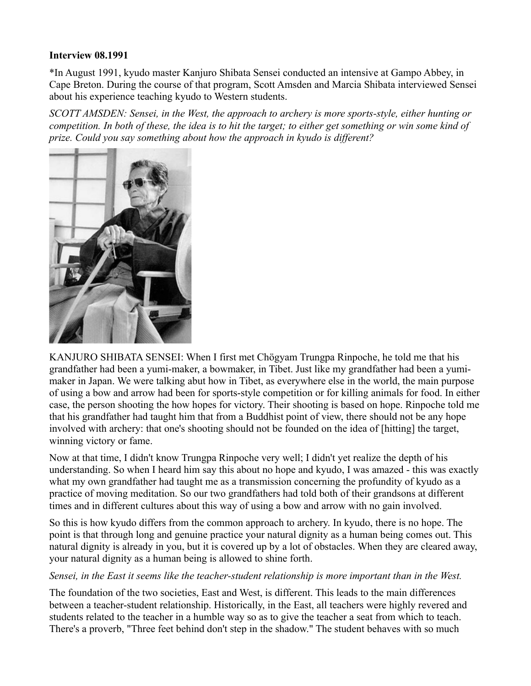#### **Interview 08.1991**

\*In August 1991, kyudo master Kanjuro Shibata Sensei conducted an intensive at Gampo Abbey, in Cape Breton. During the course of that program, Scott Amsden and Marcia Shibata interviewed Sensei about his experience teaching kyudo to Western students.

*SCOTT AMSDEN: Sensei, in the West, the approach to archery is more sports-style, either hunting or competition. In both of these, the idea is to hit the target; to either get something or win some kind of prize. Could you say something about how the approach in kyudo is different?*



KANJURO SHIBATA SENSEI: When I first met Chögyam Trungpa Rinpoche, he told me that his grandfather had been a yumi-maker, a bowmaker, in Tibet. Just like my grandfather had been a yumimaker in Japan. We were talking abut how in Tibet, as everywhere else in the world, the main purpose of using a bow and arrow had been for sports-style competition or for killing animals for food. In either case, the person shooting the how hopes for victory. Their shooting is based on hope. Rinpoche told me that his grandfather had taught him that from a Buddhist point of view, there should not be any hope involved with archery: that one's shooting should not be founded on the idea of [hitting] the target, winning victory or fame.

Now at that time, I didn't know Trungpa Rinpoche very well; I didn't yet realize the depth of his understanding. So when I heard him say this about no hope and kyudo, I was amazed - this was exactly what my own grandfather had taught me as a transmission concerning the profundity of kyudo as a practice of moving meditation. So our two grandfathers had told both of their grandsons at different times and in different cultures about this way of using a bow and arrow with no gain involved.

So this is how kyudo differs from the common approach to archery. In kyudo, there is no hope. The point is that through long and genuine practice your natural dignity as a human being comes out. This natural dignity is already in you, but it is covered up by a lot of obstacles. When they are cleared away, your natural dignity as a human being is allowed to shine forth.

# *Sensei, in the East it seems like the teacher-student relationship is more important than in the West.*

The foundation of the two societies, East and West, is different. This leads to the main differences between a teacher-student relationship. Historically, in the East, all teachers were highly revered and students related to the teacher in a humble way so as to give the teacher a seat from which to teach. There's a proverb, "Three feet behind don't step in the shadow." The student behaves with so much